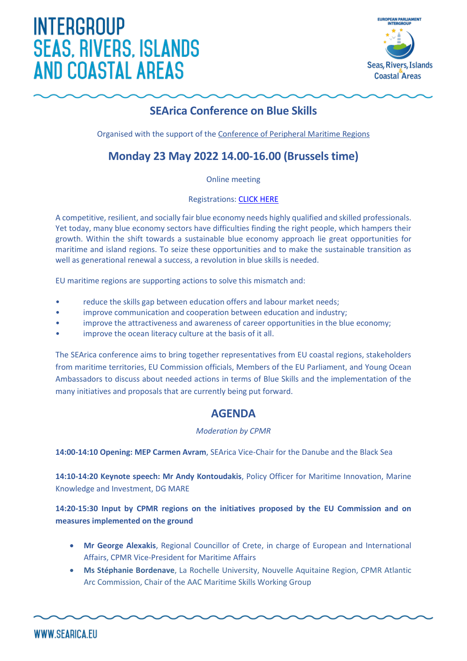# **INTERGROUP SEAS, RIVERS, ISLANDS AND COASTAL AREAS**



## **SEArica Conference on Blue Skills**

Organised with the support of the [Conference of Peripheral Maritime](https://cpmr.org/) Regions

### **Monday 23 May 2022 14.00-16.00 (Brussels time)**

Online meeting

Registrations: [CLICK HERE](http://www.searica.eu/2020-2024/events-2019-2024/searica-conference-on-blue-skills/individual-registration)

A competitive, resilient, and socially fair blue economy needs highly qualified and skilled professionals. Yet today, many blue economy sectors have difficulties finding the right people, which hampers their growth. Within the shift towards a sustainable blue economy approach lie great opportunities for maritime and island regions. To seize these opportunities and to make the sustainable transition as well as generational renewal a success, a revolution in blue skills is needed.

EU maritime regions are supporting actions to solve this mismatch and:

- reduce the skills gap between education offers and labour market needs;
- improve communication and cooperation between education and industry;
- improve the attractiveness and awareness of career opportunities in the blue economy;
- improve the ocean literacy culture at the basis of it all.

The SEArica conference aims to bring together representatives from EU coastal regions, stakeholders from maritime territories, EU Commission officials, Members of the EU Parliament, and Young Ocean Ambassadors to discuss about needed actions in terms of Blue Skills and the implementation of the many initiatives and proposals that are currently being put forward.

### **AGENDA**

### *Moderation by CPMR*

**14:00-14:10 Opening: MEP Carmen Avram**, SEArica Vice-Chair for the Danube and the Black Sea

**14:10-14:20 Keynote speech: Mr Andy Kontoudakis**, Policy Officer for Maritime Innovation, Marine Knowledge and Investment, DG MARE

**14:20-15:30 Input by CPMR regions on the initiatives proposed by the EU Commission and on measures implemented on the ground**

- **Mr George Alexakis**, Regional Councillor of Crete, in charge of European and International Affairs, CPMR Vice-President for Maritime Affairs
- **Ms Stéphanie Bordenave**, La Rochelle University, Nouvelle Aquitaine Region, CPMR Atlantic Arc Commission, Chair of the AAC Maritime Skills Working Group